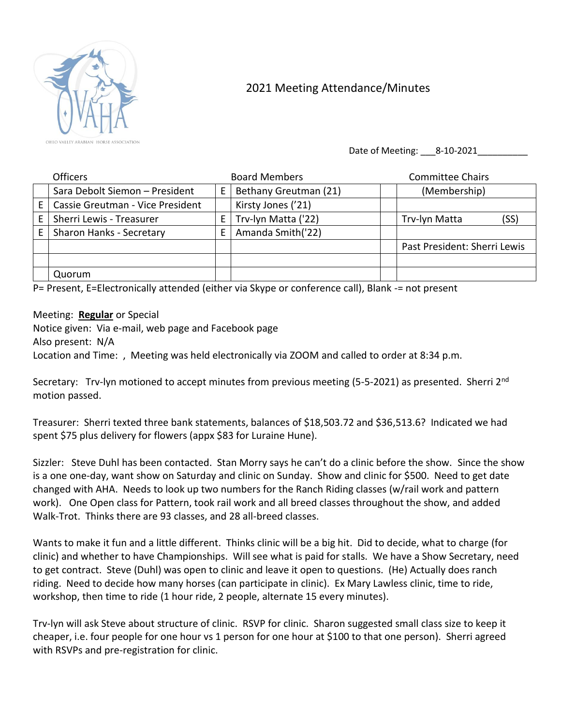

## 2021 Meeting Attendance/Minutes

Date of Meeting: \_\_\_\_ 8-10-2021\_

|    | Officers                         |   | <b>Board Members</b>  | <b>Committee Chairs</b>      |
|----|----------------------------------|---|-----------------------|------------------------------|
|    | Sara Debolt Siemon - President   | E | Bethany Greutman (21) | (Membership)                 |
| E  | Cassie Greutman - Vice President |   | Kirsty Jones ('21)    |                              |
| E. | Sherri Lewis - Treasurer         | E | Trv-lyn Matta ('22)   | (SS)<br>Trv-lyn Matta        |
| E. | Sharon Hanks - Secretary         | E | Amanda Smith('22)     |                              |
|    |                                  |   |                       | Past President: Sherri Lewis |
|    |                                  |   |                       |                              |
|    | Quorum                           |   |                       |                              |

P= Present, E=Electronically attended (either via Skype or conference call), Blank -= not present

Meeting: **Regular** or Special

Notice given: Via e-mail, web page and Facebook page Also present: N/A Location and Time: , Meeting was held electronically via ZOOM and called to order at 8:34 p.m.

Secretary: Trv-lyn motioned to accept minutes from previous meeting (5-5-2021) as presented. Sherri 2<sup>nd</sup> motion passed.

Treasurer: Sherri texted three bank statements, balances of \$18,503.72 and \$36,513.6? Indicated we had spent \$75 plus delivery for flowers (appx \$83 for Luraine Hune).

Sizzler: Steve Duhl has been contacted. Stan Morry says he can't do a clinic before the show. Since the show is a one one-day, want show on Saturday and clinic on Sunday. Show and clinic for \$500. Need to get date changed with AHA. Needs to look up two numbers for the Ranch Riding classes (w/rail work and pattern work). One Open class for Pattern, took rail work and all breed classes throughout the show, and added Walk-Trot. Thinks there are 93 classes, and 28 all-breed classes.

Wants to make it fun and a little different. Thinks clinic will be a big hit. Did to decide, what to charge (for clinic) and whether to have Championships. Will see what is paid for stalls. We have a Show Secretary, need to get contract. Steve (Duhl) was open to clinic and leave it open to questions. (He) Actually does ranch riding. Need to decide how many horses (can participate in clinic). Ex Mary Lawless clinic, time to ride, workshop, then time to ride (1 hour ride, 2 people, alternate 15 every minutes).

Trv-lyn will ask Steve about structure of clinic. RSVP for clinic. Sharon suggested small class size to keep it cheaper, i.e. four people for one hour vs 1 person for one hour at \$100 to that one person). Sherri agreed with RSVPs and pre-registration for clinic.